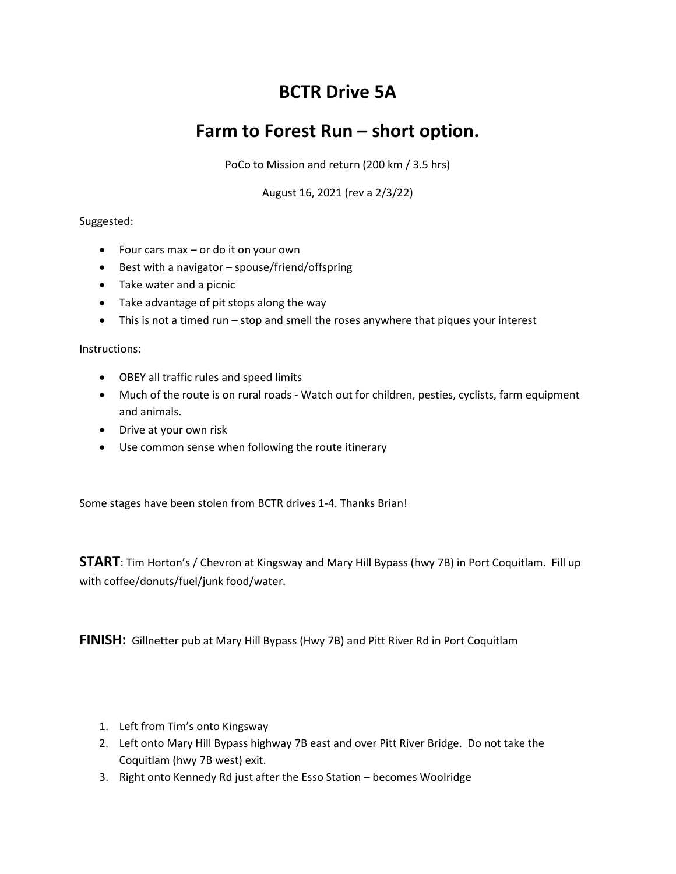# BCTR Drive 5A

## Farm to Forest Run – short option.

PoCo to Mission and return (200 km / 3.5 hrs)

August 16, 2021 (rev a 2/3/22)

### Suggested:

- $\bullet$  Four cars max or do it on your own
- Best with a navigator spouse/friend/offspring
- Take water and a picnic
- Take advantage of pit stops along the way
- This is not a timed run stop and smell the roses anywhere that piques your interest

#### Instructions:

- OBEY all traffic rules and speed limits
- Much of the route is on rural roads Watch out for children, pesties, cyclists, farm equipment and animals.
- Drive at your own risk
- Use common sense when following the route itinerary

Some stages have been stolen from BCTR drives 1-4. Thanks Brian!

START: Tim Horton's / Chevron at Kingsway and Mary Hill Bypass (hwy 7B) in Port Coquitlam. Fill up with coffee/donuts/fuel/junk food/water.

FINISH: Gillnetter pub at Mary Hill Bypass (Hwy 7B) and Pitt River Rd in Port Coquitlam

- 1. Left from Tim's onto Kingsway
- 2. Left onto Mary Hill Bypass highway 7B east and over Pitt River Bridge. Do not take the Coquitlam (hwy 7B west) exit.
- 3. Right onto Kennedy Rd just after the Esso Station becomes Woolridge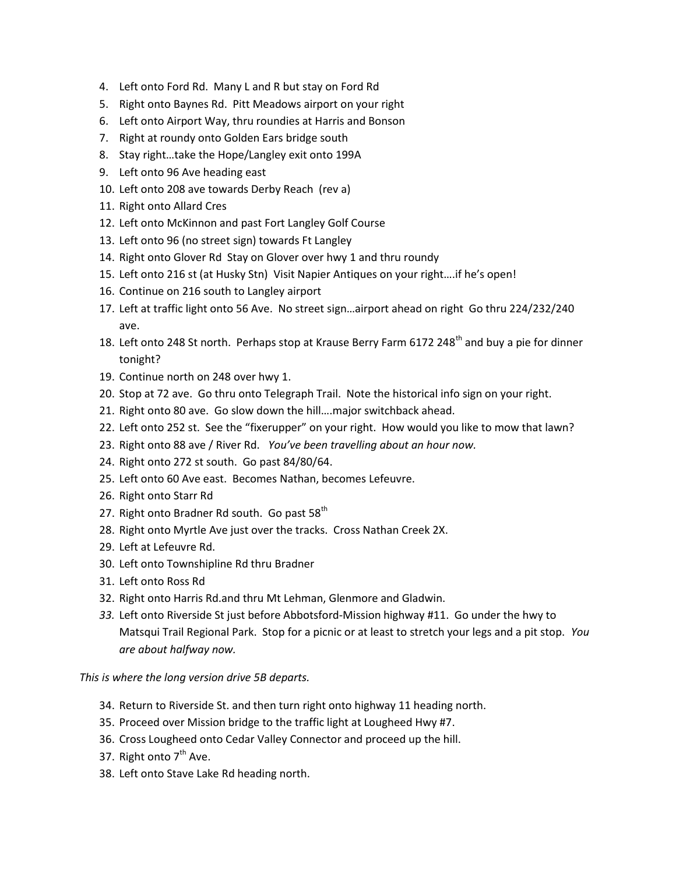- 4. Left onto Ford Rd. Many L and R but stay on Ford Rd
- 5. Right onto Baynes Rd. Pitt Meadows airport on your right
- 6. Left onto Airport Way, thru roundies at Harris and Bonson
- 7. Right at roundy onto Golden Ears bridge south
- 8. Stay right…take the Hope/Langley exit onto 199A
- 9. Left onto 96 Ave heading east
- 10. Left onto 208 ave towards Derby Reach (rev a)
- 11. Right onto Allard Cres
- 12. Left onto McKinnon and past Fort Langley Golf Course
- 13. Left onto 96 (no street sign) towards Ft Langley
- 14. Right onto Glover Rd Stay on Glover over hwy 1 and thru roundy
- 15. Left onto 216 st (at Husky Stn) Visit Napier Antiques on your right….if he's open!
- 16. Continue on 216 south to Langley airport
- 17. Left at traffic light onto 56 Ave. No street sign…airport ahead on right Go thru 224/232/240 ave.
- 18. Left onto 248 St north. Perhaps stop at Krause Berry Farm 6172 248<sup>th</sup> and buy a pie for dinner tonight?
- 19. Continue north on 248 over hwy 1.
- 20. Stop at 72 ave. Go thru onto Telegraph Trail. Note the historical info sign on your right.
- 21. Right onto 80 ave. Go slow down the hill….major switchback ahead.
- 22. Left onto 252 st. See the "fixerupper" on your right. How would you like to mow that lawn?
- 23. Right onto 88 ave / River Rd. You've been travelling about an hour now.
- 24. Right onto 272 st south. Go past 84/80/64.
- 25. Left onto 60 Ave east. Becomes Nathan, becomes Lefeuvre.
- 26. Right onto Starr Rd
- 27. Right onto Bradner Rd south. Go past 58<sup>th</sup>
- 28. Right onto Myrtle Ave just over the tracks. Cross Nathan Creek 2X.
- 29. Left at Lefeuvre Rd.
- 30. Left onto Townshipline Rd thru Bradner
- 31. Left onto Ross Rd
- 32. Right onto Harris Rd.and thru Mt Lehman, Glenmore and Gladwin.
- 33. Left onto Riverside St just before Abbotsford-Mission highway #11. Go under the hwy to Matsqui Trail Regional Park. Stop for a picnic or at least to stretch your legs and a pit stop. You are about halfway now.

This is where the long version drive 5B departs.

- 34. Return to Riverside St. and then turn right onto highway 11 heading north.
- 35. Proceed over Mission bridge to the traffic light at Lougheed Hwy #7.
- 36. Cross Lougheed onto Cedar Valley Connector and proceed up the hill.
- 37. Right onto  $7<sup>th</sup>$  Ave.
- 38. Left onto Stave Lake Rd heading north.